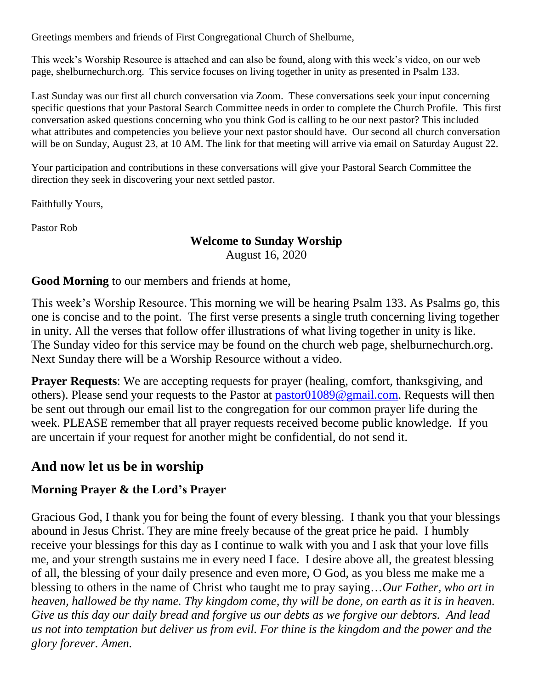Greetings members and friends of First Congregational Church of Shelburne,

This week's Worship Resource is attached and can also be found, along with this week's video, on our web page, shelburnechurch.org. This service focuses on living together in unity as presented in Psalm 133.

Last Sunday was our first all church conversation via Zoom. These conversations seek your input concerning specific questions that your Pastoral Search Committee needs in order to complete the Church Profile. This first conversation asked questions concerning who you think God is calling to be our next pastor? This included what attributes and competencies you believe your next pastor should have. Our second all church conversation will be on Sunday, August 23, at 10 AM. The link for that meeting will arrive via email on Saturday August 22.

Your participation and contributions in these conversations will give your Pastoral Search Committee the direction they seek in discovering your next settled pastor.

Faithfully Yours,

Pastor Rob

#### **Welcome to Sunday Worship** August 16, 2020

#### **Good Morning** to our members and friends at home,

This week's Worship Resource. This morning we will be hearing Psalm 133. As Psalms go, this one is concise and to the point. The first verse presents a single truth concerning living together in unity. All the verses that follow offer illustrations of what living together in unity is like. The Sunday video for this service may be found on the church web page, shelburnechurch.org. Next Sunday there will be a Worship Resource without a video.

**Prayer Requests**: We are accepting requests for prayer (healing, comfort, thanksgiving, and others). Please send your requests to the Pastor at [pastor01089@gmail.com.](mailto:pastor01089@gmail.com) Requests will then be sent out through our email list to the congregation for our common prayer life during the week. PLEASE remember that all prayer requests received become public knowledge. If you are uncertain if your request for another might be confidential, do not send it.

# **And now let us be in worship**

### **Morning Prayer & the Lord's Prayer**

Gracious God, I thank you for being the fount of every blessing. I thank you that your blessings abound in Jesus Christ. They are mine freely because of the great price he paid. I humbly receive your blessings for this day as I continue to walk with you and I ask that your love fills me, and your strength sustains me in every need I face. I desire above all, the greatest blessing of all, the blessing of your daily presence and even more, O God, as you bless me make me a blessing to others in the name of Christ who taught me to pray saying…*Our Father, who art in heaven, hallowed be thy name. Thy kingdom come, thy will be done, on earth as it is in heaven. Give us this day our daily bread and forgive us our debts as we forgive our debtors. And lead us not into temptation but deliver us from evil. For thine is the kingdom and the power and the glory forever. Amen.*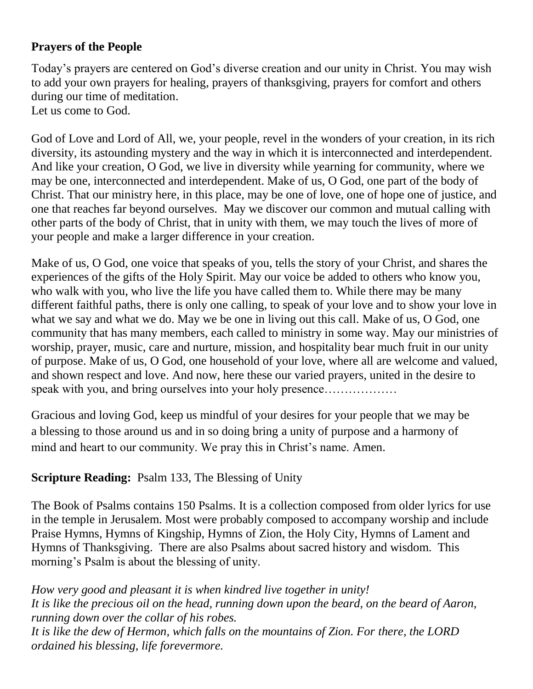# **Prayers of the People**

Today's prayers are centered on God's diverse creation and our unity in Christ. You may wish to add your own prayers for healing, prayers of thanksgiving, prayers for comfort and others during our time of meditation. Let us come to God.

God of Love and Lord of All, we, your people, revel in the wonders of your creation, in its rich diversity, its astounding mystery and the way in which it is interconnected and interdependent. And like your creation, O God, we live in diversity while yearning for community, where we may be one, interconnected and interdependent. Make of us, O God, one part of the body of Christ. That our ministry here, in this place, may be one of love, one of hope one of justice, and one that reaches far beyond ourselves. May we discover our common and mutual calling with other parts of the body of Christ, that in unity with them, we may touch the lives of more of your people and make a larger difference in your creation.

Make of us, O God, one voice that speaks of you, tells the story of your Christ, and shares the experiences of the gifts of the Holy Spirit. May our voice be added to others who know you, who walk with you, who live the life you have called them to. While there may be many different faithful paths, there is only one calling, to speak of your love and to show your love in what we say and what we do. May we be one in living out this call. Make of us, O God, one community that has many members, each called to ministry in some way. May our ministries of worship, prayer, music, care and nurture, mission, and hospitality bear much fruit in our unity of purpose. Make of us, O God, one household of your love, where all are welcome and valued, and shown respect and love. And now, here these our varied prayers, united in the desire to speak with you, and bring ourselves into your holy presence..................

Gracious and loving God, keep us mindful of your desires for your people that we may be a blessing to those around us and in so doing bring a unity of purpose and a harmony of mind and heart to our community. We pray this in Christ's name. Amen.

# **Scripture Reading:** Psalm 133, The Blessing of Unity

The Book of Psalms contains 150 Psalms. It is a collection composed from older lyrics for use in the temple in Jerusalem. Most were probably composed to accompany worship and include Praise Hymns, Hymns of Kingship, Hymns of Zion, the Holy City, Hymns of Lament and Hymns of Thanksgiving. There are also Psalms about sacred history and wisdom. This morning's Psalm is about the blessing of unity.

*How very good and pleasant it is when kindred live together in unity! It is like the precious oil on the head, running down upon the beard, on the beard of Aaron, running down over the collar of his robes. It is like the dew of Hermon, which falls on the mountains of Zion. For there, the LORD ordained his blessing, life forevermore.*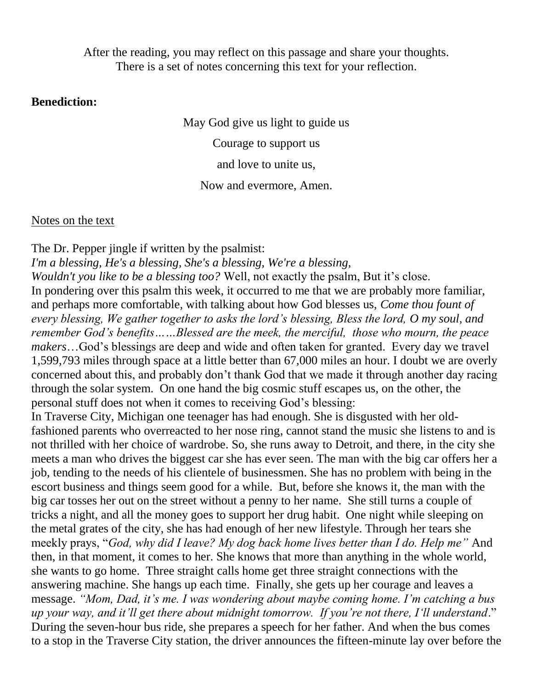After the reading, you may reflect on this passage and share your thoughts. There is a set of notes concerning this text for your reflection.

#### **Benediction:**

May God give us light to guide us Courage to support us and love to unite us, Now and evermore, Amen.

Notes on the text

The Dr. Pepper jingle if written by the psalmist: *I'm a blessing, He's a blessing, She's a blessing, We're a blessing, Wouldn't you like to be a blessing too?* Well, not exactly the psalm, But it's close. In pondering over this psalm this week, it occurred to me that we are probably more familiar, and perhaps more comfortable, with talking about how God blesses us, *Come thou fount of every blessing, We gather together to asks the lord's blessing, Bless the lord, O my soul, and remember God's benefits……Blessed are the meek, the merciful, those who mourn, the peace makers*…God's blessings are deep and wide and often taken for granted. Every day we travel 1,599,793 miles through space at a little better than 67,000 miles an hour. I doubt we are overly concerned about this, and probably don't thank God that we made it through another day racing through the solar system. On one hand the big cosmic stuff escapes us, on the other, the personal stuff does not when it comes to receiving God's blessing: In Traverse City, Michigan one teenager has had enough. She is disgusted with her oldfashioned parents who overreacted to her nose ring, cannot stand the music she listens to and is not thrilled with her choice of wardrobe. So, she runs away to Detroit, and there, in the city she meets a man who drives the biggest car she has ever seen. The man with the big car offers her a job, tending to the needs of his clientele of businessmen. She has no problem with being in the escort business and things seem good for a while. But, before she knows it, the man with the big car tosses her out on the street without a penny to her name. She still turns a couple of tricks a night, and all the money goes to support her drug habit. One night while sleeping on the metal grates of the city, she has had enough of her new lifestyle. Through her tears she meekly prays, "*God, why did I leave? My dog back home lives better than I do. Help me"* And then, in that moment, it comes to her. She knows that more than anything in the whole world, she wants to go home. Three straight calls home get three straight connections with the answering machine. She hangs up each time. Finally, she gets up her courage and leaves a message. *"Mom, Dad, it's me. I was wondering about maybe coming home. I'm catching a bus up your way, and it'll get there about midnight tomorrow. If you're not there, I'll understand*." During the seven-hour bus ride, she prepares a speech for her father. And when the bus comes to a stop in the Traverse City station, the driver announces the fifteen-minute lay over before the